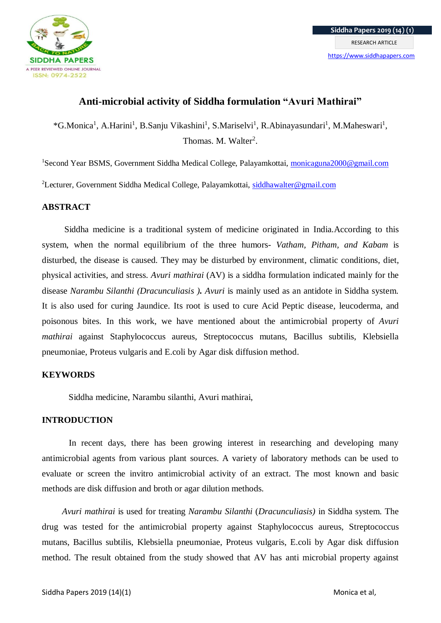

# **Anti-microbial activity of Siddha formulation "Avuri Mathirai"**

\*G.Monica<sup>1</sup>, A.Harini<sup>1</sup>, B.Sanju Vikashini<sup>1</sup>, S.Mariselvi<sup>1</sup>, R.Abinayasundari<sup>1</sup>, M.Maheswari<sup>1</sup>, Thomas. M. Walter<sup>2</sup>.

<sup>1</sup>Second Year BSMS, Government Siddha Medical College, Palayamkottai, [monicaguna2000@gmail.com](mailto:monicaguna2000@gmail.com)

<sup>2</sup>Lecturer, Government Siddha Medical College, Palayamkottai, [siddhawalter@gmail.com](mailto:siddhawalter@gmail.com)

## **ABSTRACT**

Siddha medicine is a traditional system of medicine originated in India.According to this system, when the normal equilibrium of the three humors- *Vatham, Pitham, and Kabam* is disturbed, the disease is caused. They may be disturbed by environment, climatic conditions, diet, physical activities, and stress. *Avuri mathirai* (AV) is a siddha formulation indicated mainly for the disease *Narambu Silanthi (Dracunculiasis ). Avuri* is mainly used as an antidote in Siddha system. It is also used for curing Jaundice. Its root is used to cure Acid Peptic disease, leucoderma, and poisonous bites. In this work, we have mentioned about the antimicrobial property of *Avuri mathirai* against Staphylococcus aureus, Streptococcus mutans, Bacillus subtilis, Klebsiella pneumoniae, Proteus vulgaris and E.coli by Agar disk diffusion method.

## **KEYWORDS**

Siddha medicine, Narambu silanthi, Avuri mathirai,

## **INTRODUCTION**

In recent days, there has been growing interest in researching and developing many antimicrobial agents from various plant sources. A variety of laboratory methods can be used to evaluate or screen the invitro antimicrobial activity of an extract. The most known and basic methods are disk diffusion and broth or agar dilution methods.

 *Avuri mathirai* is used for treating *Narambu Silanthi* (*Dracunculiasis)* in Siddha system. The drug was tested for the antimicrobial property against Staphylococcus aureus, Streptococcus mutans, Bacillus subtilis, Klebsiella pneumoniae, Proteus vulgaris, E.coli by Agar disk diffusion method. The result obtained from the study showed that AV has anti microbial property against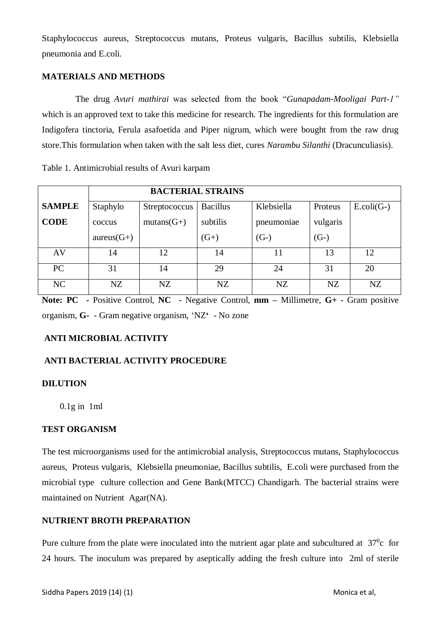Staphylococcus aureus, Streptococcus mutans, Proteus vulgaris, Bacillus subtilis, Klebsiella pneumonia and E.coli.

## **MATERIALS AND METHODS**

The drug *Avuri mathirai* was selected from the book "*Gunapadam*-*Mooligai Part-1"* which is an approved text to take this medicine for research. The ingredients for this formulation are Indigofera tinctoria, Ferula asafoetida and Piper nigrum, which were bought from the raw drug store.This formulation when taken with the salt less diet, cures *Narambu Silanthi* (Dracunculiasis).

Table 1. Antimicrobial results of Avuri karpam

|               | <b>BACTERIAL STRAINS</b> |                      |                 |            |          |                  |
|---------------|--------------------------|----------------------|-----------------|------------|----------|------------------|
| <b>SAMPLE</b> | Staphylo                 | <b>Streptococcus</b> | <b>Bacillus</b> | Klebsiella | Proteus  | $E.$ coli $(G-)$ |
| <b>CODE</b>   | coccus                   | $mutans(G+)$         | subtilis        | pneumoniae | vulgaris |                  |
|               | $aureus(G+)$             |                      | $(G+)$          | $(G-)$     | $(G-)$   |                  |
| AV            | 14                       | 12                   | 14              | 11         | 13       | 12               |
| PC            | 31                       | 14                   | 29              | 24         | 31       | 20               |
| NC            | NZ                       | NZ                   | NZ              | NZ         | NZ       | NZ               |

**Note: PC -** Positive Control, **NC** - Negative Control, **mm –** Millimetre, **G+** - Gram positive organism, **G-** - Gram negative organism, 'NZ**'** - No zone

# **ANTI MICROBIAL ACTIVITY**

# **ANTI BACTERIAL ACTIVITY PROCEDURE**

## **DILUTION**

0.1g in 1ml

## **TEST ORGANISM**

The test microorganisms used for the antimicrobial analysis, Streptococcus mutans, Staphylococcus aureus, Proteus vulgaris, Klebsiella pneumoniae, Bacillus subtilis, E.coli were purchased from the microbial type culture collection and Gene Bank(MTCC) Chandigarh. The bacterial strains were maintained on Nutrient Agar(NA).

## **NUTRIENT BROTH PREPARATION**

Pure culture from the plate were inoculated into the nutrient agar plate and subcultured at  $37^\circ$ c for 24 hours. The inoculum was prepared by aseptically adding the fresh culture into 2ml of sterile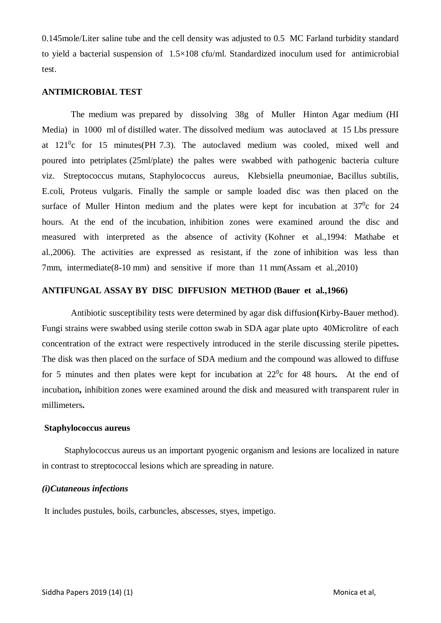0.145mole/Liter saline tube and the cell density was adjusted to 0.5 MC Farland turbidity standard to yield a bacterial suspension of 1.5×108 cfu/ml. Standardized inoculum used for antimicrobial test.

#### **ANTIMICROBIAL TEST**

 The medium was prepared by dissolving 38g of Muller Hinton Agar medium (HI Media) in 1000 ml of distilled water. The dissolved medium was autoclaved at 15 Lbs pressure at  $121^0$ c for 15 minutes(PH 7.3). The autoclaved medium was cooled, mixed well and poured into petriplates (25ml/plate) the paltes were swabbed with pathogenic bacteria culture viz. Streptococcus mutans, Staphylococcus aureus, Klebsiella pneumoniae, Bacillus subtilis, E.coli, Proteus vulgaris. Finally the sample or sample loaded disc was then placed on the surface of Muller Hinton medium and the plates were kept for incubation at  $37^\circ$ c for 24 hours. At the end of the incubation, inhibition zones were examined around the disc and measured with interpreted as the absence of activity (Kohner et al.,1994: Mathabe et al.,2006). The activities are expressed as resistant, if the zone of inhibition was less than 7mm, intermediate(8-10 mm) and sensitive if more than 11 mm(Assam et al.,2010)

## **ANTIFUNGAL ASSAY BY DISC DIFFUSION METHOD (Bauer et al.,1966)**

 Antibiotic susceptibility tests were determined by agar disk diffusion**(**Kirby**-**Bauer method). Fungi strains were swabbed using sterile cotton swab in SDA agar plate upto 40Microlitre of each concentration of the extract were respectively introduced in the sterile discussing sterile pipettes**.**  The disk was then placed on the surface of SDA medium and the compound was allowed to diffuse for 5 minutes and then plates were kept for incubation at  $22^\circ$ c for 48 hours. At the end of incubation**,** inhibition zones were examined around the disk and measured with transparent ruler in millimeters**.**

#### **Staphylococcus aureus**

 Staphylococcus aureus us an important pyogenic organism and lesions are localized in nature in contrast to streptococcal lesions which are spreading in nature.

#### *(i)Cutaneous infections*

It includes pustules, boils, carbuncles, abscesses, styes, impetigo.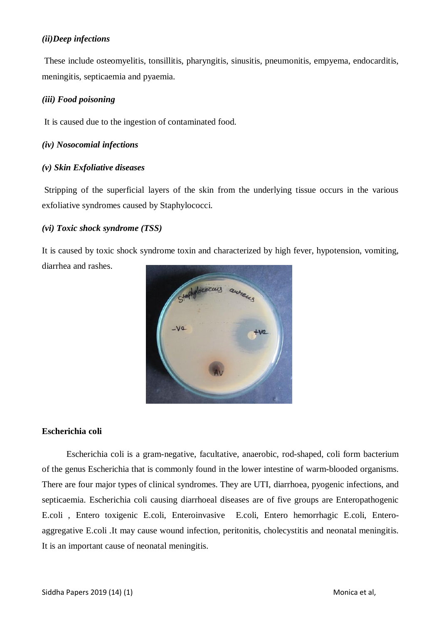## *(ii)Deep infections*

These include osteomyelitis, tonsillitis, pharyngitis, sinusitis, pneumonitis, empyema, endocarditis, meningitis, septicaemia and pyaemia.

## *(iii) Food poisoning*

It is caused due to the ingestion of contaminated food.

## *(iv) Nosocomial infections*

## *(v) Skin Exfoliative diseases*

Stripping of the superficial layers of the skin from the underlying tissue occurs in the various exfoliative syndromes caused by Staphylococci.

## *(vi) Toxic shock syndrome (TSS)*

It is caused by toxic shock syndrome toxin and characterized by high fever, hypotension, vomiting,

diarrhea and rashes.



## **Escherichia coli**

 Escherichia coli is a gram-negative, facultative, anaerobic, rod-shaped, coli form bacterium of the genus Escherichia that is commonly found in the lower intestine of warm-blooded organisms. There are four major types of clinical syndromes. They are UTI, diarrhoea, pyogenic infections, and septicaemia. Escherichia coli causing diarrhoeal diseases are of five groups are Enteropathogenic E.coli , Entero toxigenic E.coli, Enteroinvasive E.coli, Entero hemorrhagic E.coli, Enteroaggregative E.coli .It may cause wound infection, peritonitis, cholecystitis and neonatal meningitis. It is an important cause of neonatal meningitis.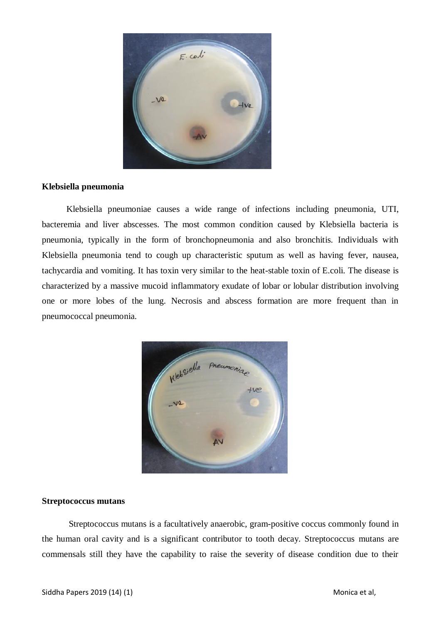

#### **Klebsiella pneumonia**

 Klebsiella pneumoniae causes a wide range of infections including pneumonia, UTI, bacteremia and liver abscesses. The most common condition caused by Klebsiella bacteria is pneumonia, typically in the form of bronchopneumonia and also bronchitis. Individuals with Klebsiella pneumonia tend to cough up characteristic sputum as well as having fever, nausea, tachycardia and vomiting. It has toxin very similar to the heat-stable toxin of E.coli. The disease is characterized by a massive mucoid inflammatory exudate of lobar or lobular distribution involving one or more lobes of the lung. Necrosis and abscess formation are more frequent than in pneumococcal pneumonia.



## **Streptococcus mutans**

 Streptococcus mutans is a facultatively anaerobic, gram-positive coccus commonly found in the human oral cavity and is a significant contributor to tooth decay. Streptococcus mutans are commensals still they have the capability to raise the severity of disease condition due to their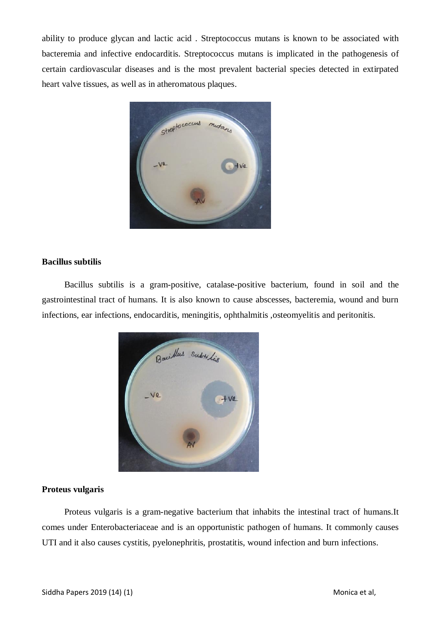ability to produce glycan and lactic acid . Streptococcus mutans is known to be associated with bacteremia and infective endocarditis. Streptococcus mutans is implicated in the pathogenesis of certain cardiovascular diseases and is the most prevalent bacterial species detected in extirpated heart valve tissues, as well as in atheromatous plaques.



### **Bacillus subtilis**

 Bacillus subtilis is a gram-positive, catalase-positive bacterium, found in soil and the gastrointestinal tract of humans. It is also known to cause abscesses, bacteremia, wound and burn infections, ear infections, endocarditis, meningitis, ophthalmitis ,osteomyelitis and peritonitis.



## **Proteus vulgaris**

 Proteus vulgaris is a gram-negative bacterium that inhabits the intestinal tract of humans.It comes under Enterobacteriaceae and is an opportunistic pathogen of humans. It commonly causes UTI and it also causes cystitis, pyelonephritis, prostatitis, wound infection and burn infections.